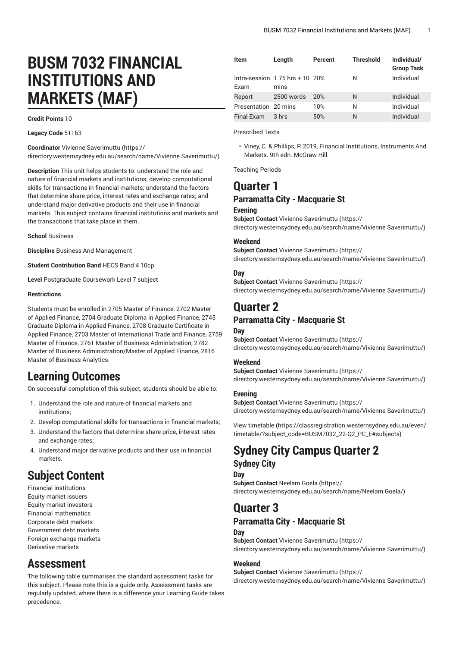# **BUSM 7032 FINANCIAL INSTITUTIONS AND MARKETS (MAF)**

**Credit Points** 10

**Legacy Code** 51163

**Coordinator** Vivienne [Saverimuttu](https://directory.westernsydney.edu.au/search/name/Vivienne Saverimuttu/) ([https://](https://directory.westernsydney.edu.au/search/name/Vivienne Saverimuttu/) [directory.westernsydney.edu.au/search/name/Vivienne](https://directory.westernsydney.edu.au/search/name/Vivienne Saverimuttu/) Saverimuttu/)

**Description** This unit helps students to: understand the role and nature of financial markets and institutions; develop computational skills for transactions in financial markets; understand the factors that determine share price, interest rates and exchange rates; and understand major derivative products and their use in financial markets. This subject contains financial institutions and markets and the transactions that take place in them.

**School** Business

**Discipline** Business And Management

**Student Contribution Band** HECS Band 4 10cp

**Level** Postgraduate Coursework Level 7 subject

#### **Restrictions**

Students must be enrolled in 2705 Master of Finance, 2702 Master of Applied Finance, 2704 Graduate Diploma in Applied Finance, 2745 Graduate Diploma in Applied Finance, 2708 Graduate Certificate in Applied Finance, 2703 Master of International Trade and Finance, 2759 Master of Finance, 2761 Master of Business Administration, 2782 Master of Business Administration/Master of Applied Finance, 2816 Master of Business Analytics.

# **Learning Outcomes**

On successful completion of this subject, students should be able to:

- 1. Understand the role and nature of financial markets and institutions;
- 2. Develop computational skills for transactions in financial markets;
- 3. Understand the factors that determine share price, interest rates and exchange rates;
- 4. Understand major derivative products and their use in financial markets.

# **Subject Content**

Financial institutions Equity market issuers Equity market investors Financial mathematics Corporate debt markets Government debt markets Foreign exchange markets Derivative markets

# **Assessment**

The following table summarises the standard assessment tasks for this subject. Please note this is a guide only. Assessment tasks are regularly updated, where there is a difference your Learning Guide takes precedence.

| Item                 | Length                                       | Percent | <b>Threshold</b> | Individual/<br><b>Group Task</b> |
|----------------------|----------------------------------------------|---------|------------------|----------------------------------|
| <b>Fxam</b>          | Intra-session $1.75$ hrs + 10 $20\%$<br>mins |         | N                | Individual                       |
| Report               | 2500 words                                   | 20%     | N                | Individual                       |
| Presentation 20 mins |                                              | 10%     | N                | Individual                       |
| <b>Final Exam</b>    | 3 hrs                                        | 50%     | N                | Individual                       |

Prescribed Texts

• Viney, C. & Phillips, P. 2019, Financial Institutions, Instruments And Markets. 9th edn. McGraw Hill.

Teaching Periods

## **Quarter 1 Parramatta City - Macquarie St**

#### **Evening**

**Subject Contact** Vivienne [Saverimuttu](https://directory.westernsydney.edu.au/search/name/Vivienne Saverimuttu/) ([https://](https://directory.westernsydney.edu.au/search/name/Vivienne Saverimuttu/) [directory.westernsydney.edu.au/search/name/Vivienne](https://directory.westernsydney.edu.au/search/name/Vivienne Saverimuttu/) Saverimuttu/)

#### **Weekend**

**Subject Contact** Vivienne [Saverimuttu](https://directory.westernsydney.edu.au/search/name/Vivienne Saverimuttu/) ([https://](https://directory.westernsydney.edu.au/search/name/Vivienne Saverimuttu/) [directory.westernsydney.edu.au/search/name/Vivienne](https://directory.westernsydney.edu.au/search/name/Vivienne Saverimuttu/) Saverimuttu/)

#### **Day**

**Subject Contact** Vivienne [Saverimuttu](https://directory.westernsydney.edu.au/search/name/Vivienne Saverimuttu/) ([https://](https://directory.westernsydney.edu.au/search/name/Vivienne Saverimuttu/) [directory.westernsydney.edu.au/search/name/Vivienne](https://directory.westernsydney.edu.au/search/name/Vivienne Saverimuttu/) Saverimuttu/)

# **Quarter 2**

## **Parramatta City - Macquarie St**

#### **Day**

**Subject Contact** Vivienne [Saverimuttu](https://directory.westernsydney.edu.au/search/name/Vivienne Saverimuttu/) ([https://](https://directory.westernsydney.edu.au/search/name/Vivienne Saverimuttu/) [directory.westernsydney.edu.au/search/name/Vivienne](https://directory.westernsydney.edu.au/search/name/Vivienne Saverimuttu/) Saverimuttu/)

#### **Weekend**

**Subject Contact** Vivienne [Saverimuttu](https://directory.westernsydney.edu.au/search/name/Vivienne Saverimuttu/) ([https://](https://directory.westernsydney.edu.au/search/name/Vivienne Saverimuttu/) [directory.westernsydney.edu.au/search/name/Vivienne](https://directory.westernsydney.edu.au/search/name/Vivienne Saverimuttu/) Saverimuttu/)

#### **Evening**

**Subject Contact** Vivienne [Saverimuttu](https://directory.westernsydney.edu.au/search/name/Vivienne Saverimuttu/) ([https://](https://directory.westernsydney.edu.au/search/name/Vivienne Saverimuttu/) [directory.westernsydney.edu.au/search/name/Vivienne](https://directory.westernsydney.edu.au/search/name/Vivienne Saverimuttu/) Saverimuttu/)

[View timetable](https://classregistration.westernsydney.edu.au/even/timetable/?subject_code=BUSM7032_22-Q2_PC_E#subjects) [\(https://classregistration.westernsydney.edu.au/even/](https://classregistration.westernsydney.edu.au/even/timetable/?subject_code=BUSM7032_22-Q2_PC_E#subjects) [timetable/?subject\\_code=BUSM7032\\_22-Q2\\_PC\\_E#subjects\)](https://classregistration.westernsydney.edu.au/even/timetable/?subject_code=BUSM7032_22-Q2_PC_E#subjects)

# **Sydney City Campus Quarter 2 Sydney City**

## **Day**

**Subject Contact** [Neelam Goela \(https://](https://directory.westernsydney.edu.au/search/name/Neelam Goela/) [directory.westernsydney.edu.au/search/name/Neelam](https://directory.westernsydney.edu.au/search/name/Neelam Goela/) Goela/)

# **Quarter 3**

## **Parramatta City - Macquarie St**

## **Day**

**Subject Contact** Vivienne [Saverimuttu](https://directory.westernsydney.edu.au/search/name/Vivienne Saverimuttu/) ([https://](https://directory.westernsydney.edu.au/search/name/Vivienne Saverimuttu/) [directory.westernsydney.edu.au/search/name/Vivienne](https://directory.westernsydney.edu.au/search/name/Vivienne Saverimuttu/) Saverimuttu/)

#### **Weekend**

**Subject Contact** Vivienne [Saverimuttu](https://directory.westernsydney.edu.au/search/name/Vivienne Saverimuttu/) ([https://](https://directory.westernsydney.edu.au/search/name/Vivienne Saverimuttu/) [directory.westernsydney.edu.au/search/name/Vivienne](https://directory.westernsydney.edu.au/search/name/Vivienne Saverimuttu/) Saverimuttu/)